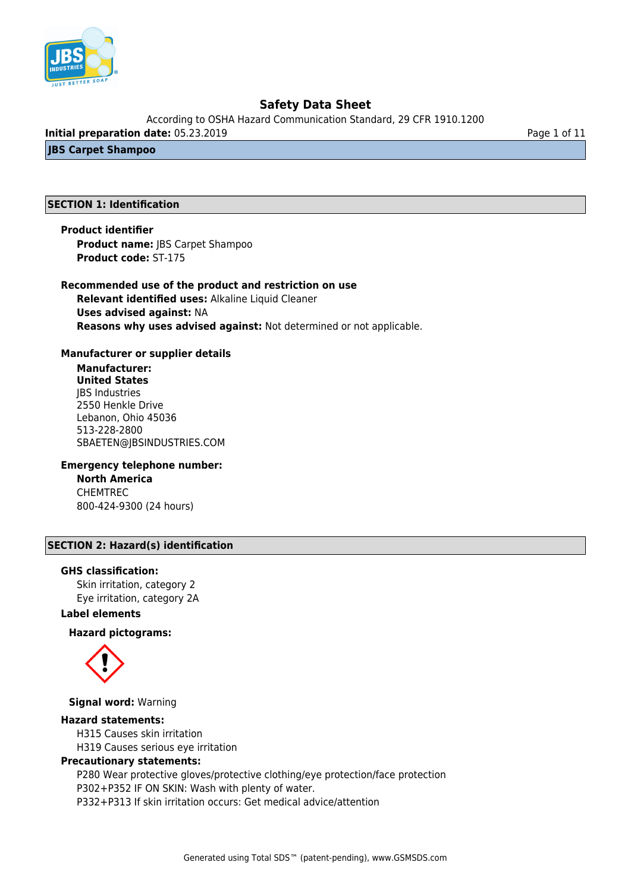

According to OSHA Hazard Communication Standard, 29 CFR 1910.1200

**Initial preparation date:** 05.23.2019 **Page 1 of 11** 

**JBS Carpet Shampoo**

### **SECTION 1: Identification**

**Product identifier Product name:** JBS Carpet Shampoo **Product code:** ST-175

### **Recommended use of the product and restriction on use**

**Relevant identified uses:** Alkaline Liquid Cleaner **Uses advised against:** NA **Reasons why uses advised against:** Not determined or not applicable.

#### **Manufacturer or supplier details**

**Manufacturer: United States** JBS Industries 2550 Henkle Drive Lebanon, Ohio 45036 513-228-2800 SBAETEN@JBSINDUSTRIES.COM

#### **Emergency telephone number:**

**North America** CHEMTREC 800-424-9300 (24 hours)

## **SECTION 2: Hazard(s) identification**

#### **GHS classification:**

Skin irritation, category 2 Eye irritation, category 2A

## **Label elements**

**Hazard pictograms:**



**Signal word:** Warning

#### **Hazard statements:**

H315 Causes skin irritation H319 Causes serious eye irritation

#### **Precautionary statements:**

P280 Wear protective gloves/protective clothing/eye protection/face protection P302+P352 IF ON SKIN: Wash with plenty of water. P332+P313 If skin irritation occurs: Get medical advice/attention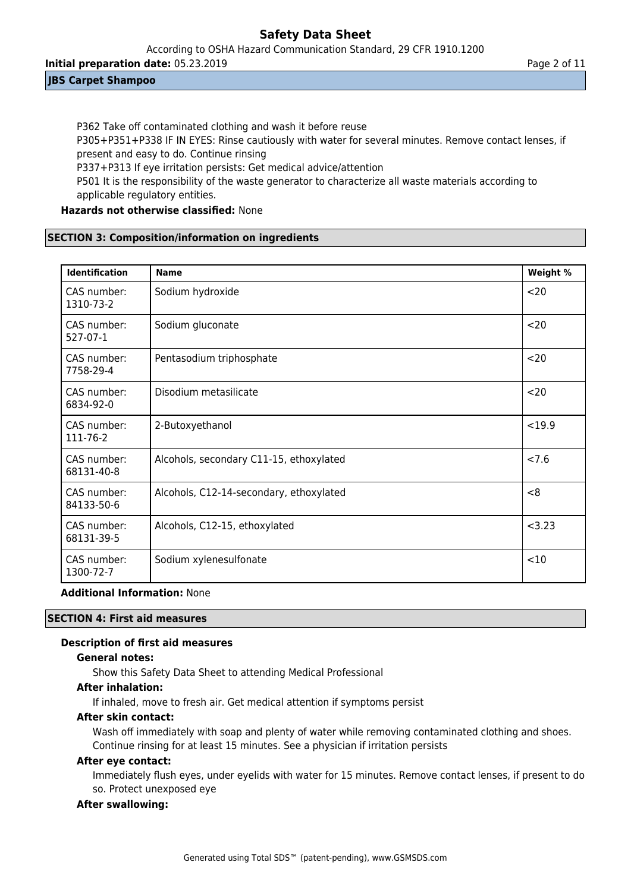According to OSHA Hazard Communication Standard, 29 CFR 1910.1200

**Initial preparation date:** 05.23.2019 **Page 2 of 11** 

## **JBS Carpet Shampoo**

P362 Take off contaminated clothing and wash it before reuse P305+P351+P338 IF IN EYES: Rinse cautiously with water for several minutes. Remove contact lenses, if present and easy to do. Continue rinsing P337+P313 If eye irritation persists: Get medical advice/attention P501 It is the responsibility of the waste generator to characterize all waste materials according to

applicable regulatory entities.

## **Hazards not otherwise classified:** None

## **SECTION 3: Composition/information on ingredients**

| <b>Identification</b>     | <b>Name</b>                             | Weight % |
|---------------------------|-----------------------------------------|----------|
| CAS number:<br>1310-73-2  | Sodium hydroxide                        | $20$     |
| CAS number:<br>527-07-1   | Sodium gluconate                        | $20$     |
| CAS number:<br>7758-29-4  | Pentasodium triphosphate                | $20$     |
| CAS number:<br>6834-92-0  | Disodium metasilicate                   | $20$     |
| CAS number:<br>111-76-2   | 2-Butoxyethanol                         | < 19.9   |
| CAS number:<br>68131-40-8 | Alcohols, secondary C11-15, ethoxylated | < 7.6    |
| CAS number:<br>84133-50-6 | Alcohols, C12-14-secondary, ethoxylated | < 8      |
| CAS number:<br>68131-39-5 | Alcohols, C12-15, ethoxylated           | < 3.23   |
| CAS number:<br>1300-72-7  | Sodium xylenesulfonate                  | <10      |

## **Additional Information:** None

## **SECTION 4: First aid measures**

## **Description of first aid measures**

### **General notes:**

Show this Safety Data Sheet to attending Medical Professional

## **After inhalation:**

If inhaled, move to fresh air. Get medical attention if symptoms persist

## **After skin contact:**

Wash off immediately with soap and plenty of water while removing contaminated clothing and shoes. Continue rinsing for at least 15 minutes. See a physician if irritation persists

#### **After eye contact:**

Immediately flush eyes, under eyelids with water for 15 minutes. Remove contact lenses, if present to do so. Protect unexposed eye

## **After swallowing:**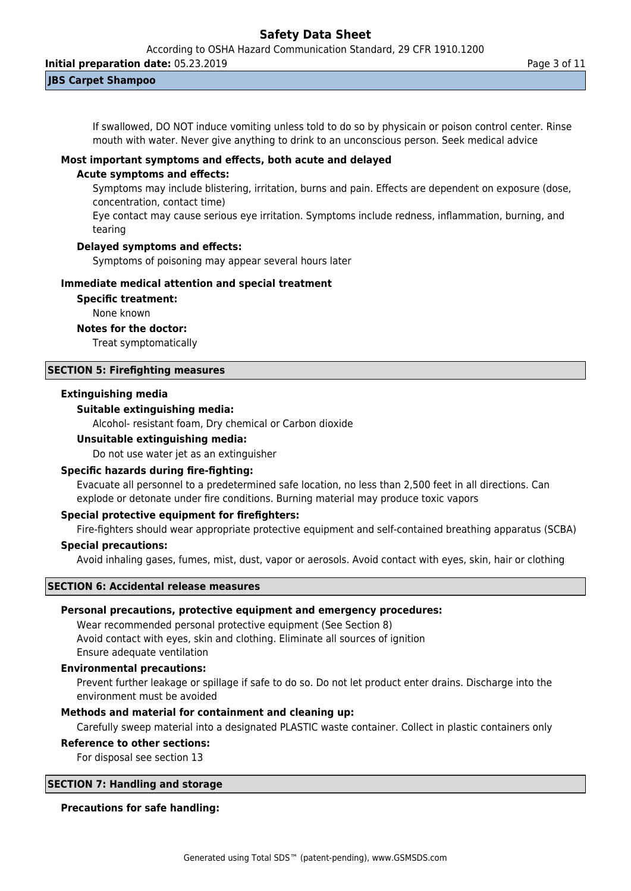According to OSHA Hazard Communication Standard, 29 CFR 1910.1200

**Initial preparation date:** 05.23.2019 **Page 3 of 11** 

**JBS Carpet Shampoo**

If swallowed, DO NOT induce vomiting unless told to do so by physicain or poison control center. Rinse mouth with water. Never give anything to drink to an unconscious person. Seek medical advice

#### **Most important symptoms and effects, both acute and delayed**

#### **Acute symptoms and effects:**

Symptoms may include blistering, irritation, burns and pain. Effects are dependent on exposure (dose, concentration, contact time)

Eye contact may cause serious eye irritation. Symptoms include redness, inflammation, burning, and tearing

#### **Delayed symptoms and effects:**

Symptoms of poisoning may appear several hours later

### **Immediate medical attention and special treatment**

**Specific treatment:**

None known

## **Notes for the doctor:**

Treat symptomatically

## **SECTION 5: Firefighting measures**

#### **Extinguishing media**

#### **Suitable extinguishing media:**

Alcohol- resistant foam, Dry chemical or Carbon dioxide

#### **Unsuitable extinguishing media:**

Do not use water jet as an extinguisher

#### **Specific hazards during fire-fighting:**

Evacuate all personnel to a predetermined safe location, no less than 2,500 feet in all directions. Can explode or detonate under fire conditions. Burning material may produce toxic vapors

#### **Special protective equipment for firefighters:**

Fire-fighters should wear appropriate protective equipment and self-contained breathing apparatus (SCBA)

#### **Special precautions:**

Avoid inhaling gases, fumes, mist, dust, vapor or aerosols. Avoid contact with eyes, skin, hair or clothing

#### **SECTION 6: Accidental release measures**

## **Personal precautions, protective equipment and emergency procedures:**

Wear recommended personal protective equipment (See Section 8) Avoid contact with eyes, skin and clothing. Eliminate all sources of ignition Ensure adequate ventilation

## **Environmental precautions:**

Prevent further leakage or spillage if safe to do so. Do not let product enter drains. Discharge into the environment must be avoided

## **Methods and material for containment and cleaning up:**

Carefully sweep material into a designated PLASTIC waste container. Collect in plastic containers only

### **Reference to other sections:**

For disposal see section 13

### **SECTION 7: Handling and storage**

#### **Precautions for safe handling:**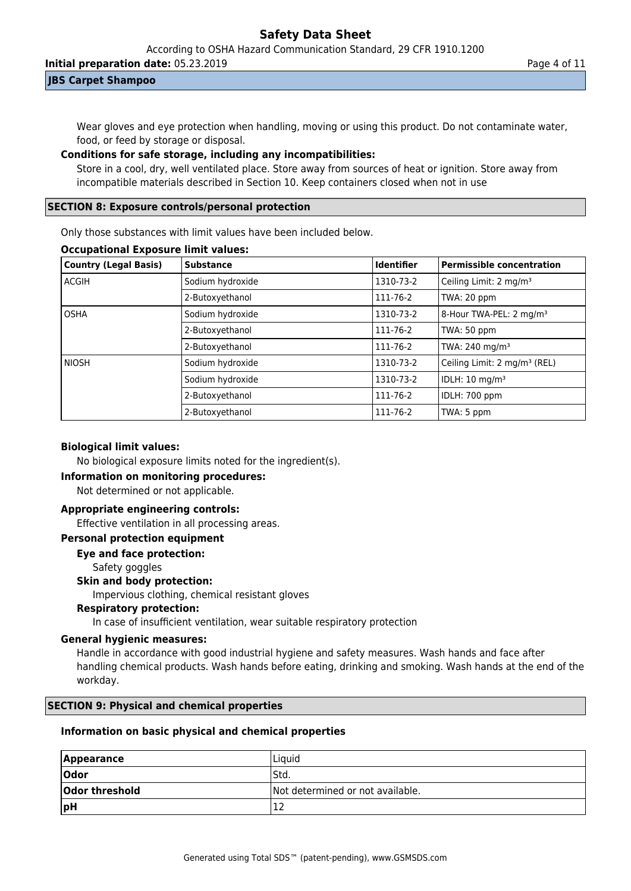According to OSHA Hazard Communication Standard, 29 CFR 1910.1200

**Initial preparation date:** 05.23.2019 **Page 4 of 11** 

## **JBS Carpet Shampoo**

Wear gloves and eye protection when handling, moving or using this product. Do not contaminate water, food, or feed by storage or disposal.

## **Conditions for safe storage, including any incompatibilities:**

Store in a cool, dry, well ventilated place. Store away from sources of heat or ignition. Store away from incompatible materials described in Section 10. Keep containers closed when not in use

## **SECTION 8: Exposure controls/personal protection**

Only those substances with limit values have been included below.

## **Occupational Exposure limit values:**

| <b>Country (Legal Basis)</b> | <b>Substance</b> | Identifier | Permissible concentration                |
|------------------------------|------------------|------------|------------------------------------------|
| <b>ACGIH</b>                 | Sodium hydroxide | 1310-73-2  | Ceiling Limit: 2 mg/m <sup>3</sup>       |
|                              | 2-Butoxyethanol  | 111-76-2   | TWA: 20 ppm                              |
| <b>OSHA</b>                  | Sodium hydroxide | 1310-73-2  | 8-Hour TWA-PEL: 2 mg/m <sup>3</sup>      |
|                              | 2-Butoxyethanol  | 111-76-2   | TWA: 50 ppm                              |
|                              | 2-Butoxyethanol  | 111-76-2   | TWA: 240 mg/m <sup>3</sup>               |
| <b>NIOSH</b>                 | Sodium hydroxide | 1310-73-2  | Ceiling Limit: 2 mg/m <sup>3</sup> (REL) |
|                              | Sodium hydroxide | 1310-73-2  | IDLH: 10 mg/m <sup>3</sup>               |
|                              | 2-Butoxyethanol  | 111-76-2   | IDLH: 700 ppm                            |
|                              | 2-Butoxyethanol  | 111-76-2   | TWA: 5 ppm                               |

## **Biological limit values:**

No biological exposure limits noted for the ingredient(s).

## **Information on monitoring procedures:**

Not determined or not applicable.

## **Appropriate engineering controls:**

Effective ventilation in all processing areas.

## **Personal protection equipment**

**Eye and face protection:**

Safety goggles

## **Skin and body protection:**

Impervious clothing, chemical resistant gloves

### **Respiratory protection:**

In case of insufficient ventilation, wear suitable respiratory protection

#### **General hygienic measures:**

Handle in accordance with good industrial hygiene and safety measures. Wash hands and face after handling chemical products. Wash hands before eating, drinking and smoking. Wash hands at the end of the workday.

## **SECTION 9: Physical and chemical properties**

## **Information on basic physical and chemical properties**

| <b>Appearance</b> | Liquid                           |
|-------------------|----------------------------------|
| Odor              | 'Std.                            |
| Odor threshold    | Not determined or not available. |
| pH                | ∸∸                               |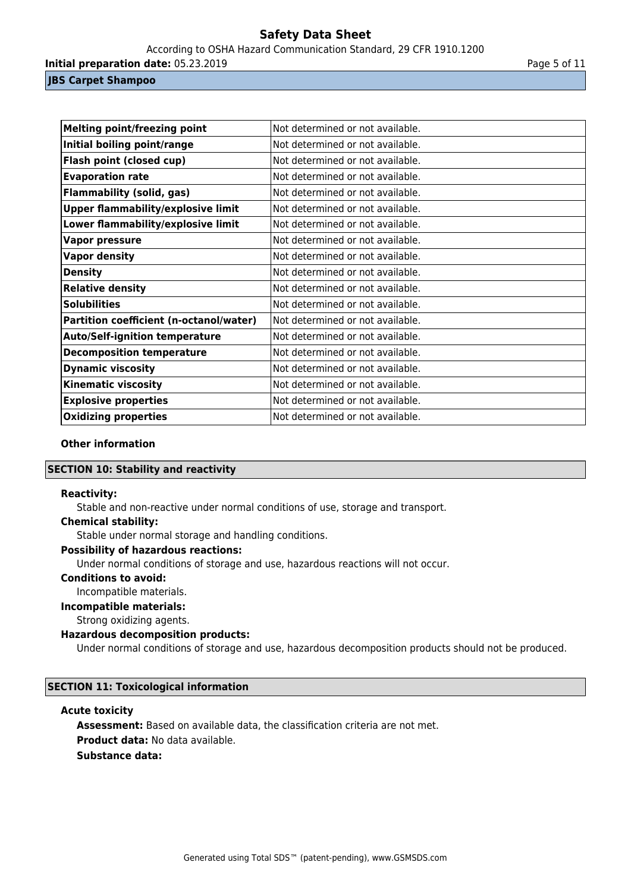According to OSHA Hazard Communication Standard, 29 CFR 1910.1200

**Initial preparation date:** 05.23.2019 **Page 1 and 2018 Page 5 of 11** 

#### **JBS Carpet Shampoo**

| <b>Melting point/freezing point</b>       | Not determined or not available. |
|-------------------------------------------|----------------------------------|
| Initial boiling point/range               | Not determined or not available. |
| <b>Flash point (closed cup)</b>           | Not determined or not available. |
| <b>Evaporation rate</b>                   | Not determined or not available. |
| <b>Flammability (solid, gas)</b>          | Not determined or not available. |
| <b>Upper flammability/explosive limit</b> | Not determined or not available. |
| Lower flammability/explosive limit        | Not determined or not available. |
| <b>Vapor pressure</b>                     | Not determined or not available. |
| <b>Vapor density</b>                      | Not determined or not available. |
| <b>Density</b>                            | Not determined or not available. |
| <b>Relative density</b>                   | Not determined or not available. |
| <b>Solubilities</b>                       | Not determined or not available. |
| Partition coefficient (n-octanol/water)   | Not determined or not available. |
| <b>Auto/Self-ignition temperature</b>     | Not determined or not available. |
| <b>Decomposition temperature</b>          | Not determined or not available. |
| <b>Dynamic viscosity</b>                  | Not determined or not available. |
| <b>Kinematic viscosity</b>                | Not determined or not available. |
| <b>Explosive properties</b>               | Not determined or not available. |
| <b>Oxidizing properties</b>               | Not determined or not available. |

#### **Other information**

### **SECTION 10: Stability and reactivity**

#### **Reactivity:**

Stable and non-reactive under normal conditions of use, storage and transport.

#### **Chemical stability:**

Stable under normal storage and handling conditions.

## **Possibility of hazardous reactions:**

Under normal conditions of storage and use, hazardous reactions will not occur.

## **Conditions to avoid:**

Incompatible materials.

#### **Incompatible materials:**

Strong oxidizing agents.

#### **Hazardous decomposition products:**

Under normal conditions of storage and use, hazardous decomposition products should not be produced.

## **SECTION 11: Toxicological information**

#### **Acute toxicity**

**Assessment:** Based on available data, the classification criteria are not met. **Product data:** No data available. **Substance data:**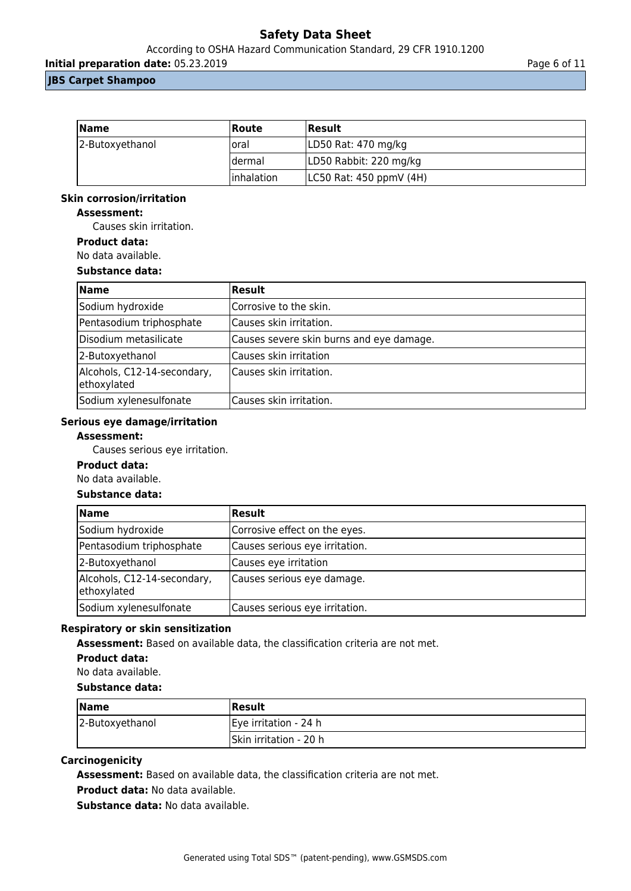According to OSHA Hazard Communication Standard, 29 CFR 1910.1200

**Initial preparation date:** 05.23.2019 **Page 6 of 11** 

## **JBS Carpet Shampoo**

| <b>Name</b>     | Route       | Result                  |
|-----------------|-------------|-------------------------|
| 2-Butoxyethanol | loral       | LD50 Rat: 470 mg/kg     |
|                 | Idermal     | LD50 Rabbit: 220 mg/kg  |
|                 | linhalation | LC50 Rat: 450 ppmV (4H) |

#### **Skin corrosion/irritation**

### **Assessment:**

Causes skin irritation.

**Product data:**

No data available.

#### **Substance data:**

| <b>Name</b>                                | <b>Result</b>                            |
|--------------------------------------------|------------------------------------------|
| Sodium hydroxide                           | Corrosive to the skin.                   |
| Pentasodium triphosphate                   | Causes skin irritation.                  |
| Disodium metasilicate                      | Causes severe skin burns and eye damage. |
| 2-Butoxyethanol                            | Causes skin irritation                   |
| Alcohols, C12-14-secondary,<br>ethoxylated | Causes skin irritation.                  |
| Sodium xylenesulfonate                     | Causes skin irritation.                  |

#### **Serious eye damage/irritation**

#### **Assessment:**

Causes serious eye irritation.

#### **Product data:**

No data available.

## **Substance data:**

| <b>Name</b>                                | <b>Result</b>                  |
|--------------------------------------------|--------------------------------|
| Sodium hydroxide                           | Corrosive effect on the eyes.  |
| Pentasodium triphosphate                   | Causes serious eye irritation. |
| 2-Butoxyethanol                            | Causes eye irritation          |
| Alcohols, C12-14-secondary,<br>ethoxylated | Causes serious eye damage.     |
| Sodium xylenesulfonate                     | Causes serious eye irritation. |

### **Respiratory or skin sensitization**

**Assessment:** Based on available data, the classification criteria are not met.

## **Product data:**

No data available.

#### **Substance data:**

| <b>Name</b>     | Result                 |
|-----------------|------------------------|
| 2-Butoxyethanol | Eye irritation - 24 h  |
|                 | Skin irritation - 20 h |

#### **Carcinogenicity**

**Assessment:** Based on available data, the classification criteria are not met.

**Product data:** No data available.

**Substance data:** No data available.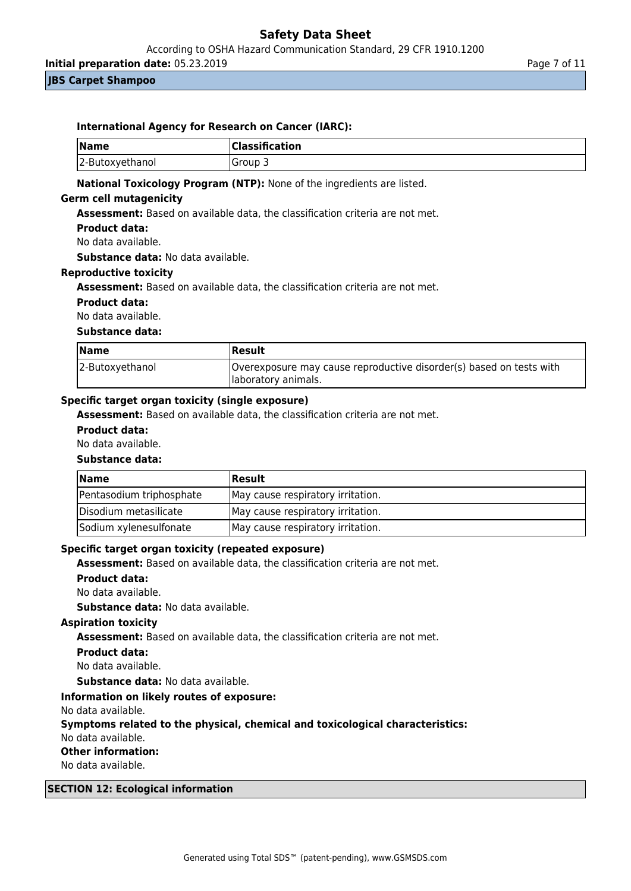According to OSHA Hazard Communication Standard, 29 CFR 1910.1200

**Initial preparation date:** 05.23.2019 **Page 7 of 11** Page 7 of 11

**JBS Carpet Shampoo**

| <b>Name</b>          | Classification                                                                |  |
|----------------------|-------------------------------------------------------------------------------|--|
| 2-Butoxyethanol      | Group 3                                                                       |  |
|                      | Assessment: Based on available data, the classification criteria are not met. |  |
|                      |                                                                               |  |
| <b>Product data:</b> |                                                                               |  |
| No data available.   |                                                                               |  |

#### **Reproductive toxicity**

**Assessment:** Based on available data, the classification criteria are not met.

#### **Product data:**

No data available.

## **Substance data:**

| <b>Name</b>     | <b>Result</b>                                                       |
|-----------------|---------------------------------------------------------------------|
| 2-Butoxyethanol | Overexposure may cause reproductive disorder(s) based on tests with |
|                 | laboratory animals.                                                 |

#### **Specific target organ toxicity (single exposure)**

**Assessment:** Based on available data, the classification criteria are not met.

#### **Product data:**

#### No data available.

#### **Substance data:**

| <b>Name</b>              | Result                            |
|--------------------------|-----------------------------------|
| Pentasodium triphosphate | May cause respiratory irritation. |
| Disodium metasilicate    | May cause respiratory irritation. |
| Sodium xylenesulfonate   | May cause respiratory irritation. |

#### **Specific target organ toxicity (repeated exposure)**

**Assessment:** Based on available data, the classification criteria are not met.

#### **Product data:**

No data available.

**Substance data:** No data available.

#### **Aspiration toxicity**

**Assessment:** Based on available data, the classification criteria are not met.

#### **Product data:**

No data available.

**Substance data:** No data available.

#### **Information on likely routes of exposure:**

No data available.

#### **Symptoms related to the physical, chemical and toxicological characteristics:**

No data available.

#### **Other information:**

No data available.

#### **SECTION 12: Ecological information**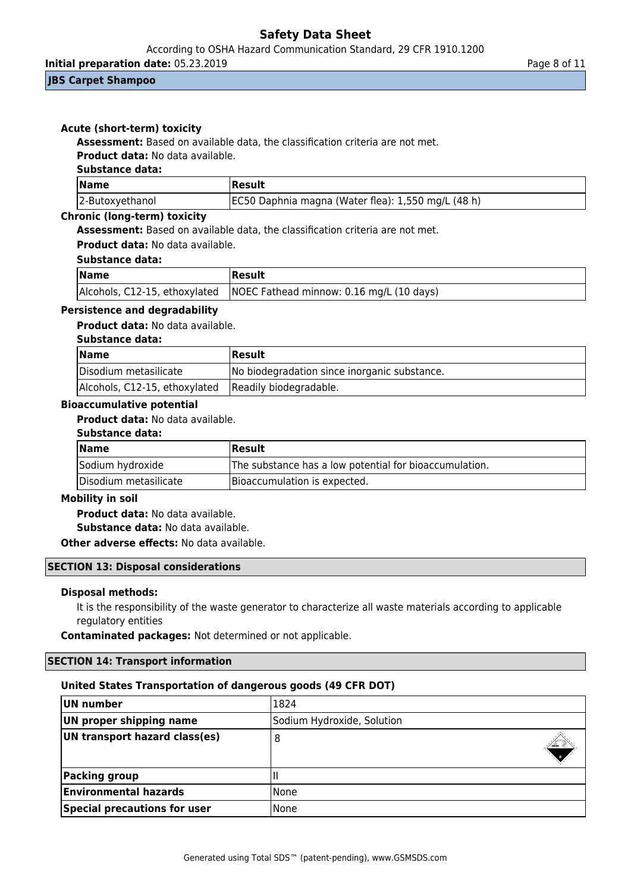According to OSHA Hazard Communication Standard, 29 CFR 1910.1200

**Initial preparation date:** 05.23.2019 **Page 8 of 11** 

### **JBS Carpet Shampoo**

## **Acute (short-term) toxicity**

**Assessment:** Based on available data, the classification criteria are not met.

**Product data:** No data available.

## **Substance data:**

| <b>Name</b>     | Result                                             |
|-----------------|----------------------------------------------------|
| 2-Butoxyethanol | EC50 Daphnia magna (Water flea): 1,550 mg/L (48 h) |

## **Chronic (long-term) toxicity**

**Assessment:** Based on available data, the classification criteria are not met.

## **Product data:** No data available.

### **Substance data:**

| $\vert$ Name | Result                                                                   |
|--------------|--------------------------------------------------------------------------|
|              | Alcohols, C12-15, ethoxylated   NOEC Fathead minnow: 0.16 mg/L (10 days) |

## **Persistence and degradability**

**Product data:** No data available.

#### **Substance data:**

| <b>Name</b>                                          | <b> Result</b>                               |
|------------------------------------------------------|----------------------------------------------|
| Disodium metasilicate                                | No biodegradation since inorganic substance. |
| Alcohols, C12-15, ethoxylated Readily biodegradable. |                                              |

#### **Bioaccumulative potential**

**Product data:** No data available.

#### **Substance data:**

| <b>Name</b>           | Result                                                 |
|-----------------------|--------------------------------------------------------|
| Sodium hydroxide      | The substance has a low potential for bioaccumulation. |
| Disodium metasilicate | Bioaccumulation is expected.                           |

#### **Mobility in soil**

**Product data:** No data available. **Substance data:** No data available.

**Other adverse effects:** No data available.

#### **SECTION 13: Disposal considerations**

#### **Disposal methods:**

It is the responsibility of the waste generator to characterize all waste materials according to applicable regulatory entities

**Contaminated packages:** Not determined or not applicable.

## **SECTION 14: Transport information**

## **United States Transportation of dangerous goods (49 CFR DOT)**

| UN number                     | 1824                       |
|-------------------------------|----------------------------|
| UN proper shipping name       | Sodium Hydroxide, Solution |
| UN transport hazard class(es) | 8                          |
| Packing group                 | Ш                          |
| <b>Environmental hazards</b>  | None                       |
| Special precautions for user  | l None                     |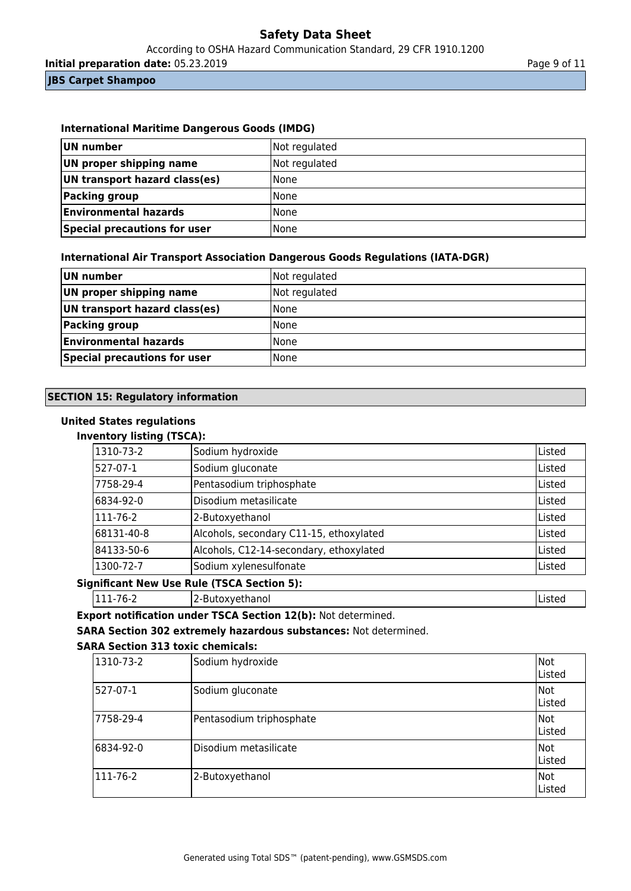According to OSHA Hazard Communication Standard, 29 CFR 1910.1200

**Initial preparation date:** 05.23.2019 **Page 9 of 11** 

#### **JBS Carpet Shampoo**

## **International Maritime Dangerous Goods (IMDG)**

| UN number                     | Not regulated |
|-------------------------------|---------------|
| UN proper shipping name       | Not regulated |
| UN transport hazard class(es) | None          |
| Packing group                 | None          |
| <b>Environmental hazards</b>  | l None        |
| Special precautions for user  | l None        |

### **International Air Transport Association Dangerous Goods Regulations (IATA-DGR)**

| UN number                     | Not regulated |
|-------------------------------|---------------|
| UN proper shipping name       | Not regulated |
| UN transport hazard class(es) | <b>None</b>   |
| Packing group                 | None          |
| <b>Environmental hazards</b>  | None          |
| Special precautions for user  | <b>None</b>   |

### **SECTION 15: Regulatory information**

### **United States regulations**

## **Inventory listing (TSCA):**

| 1310-73-2        | Sodium hydroxide                        | Listed |
|------------------|-----------------------------------------|--------|
| 527-07-1         | Sodium gluconate                        | Listed |
| 7758-29-4        | Pentasodium triphosphate                | Listed |
| 6834-92-0        | Disodium metasilicate                   | Listed |
| $ 111 - 76 - 2 $ | 2-Butoxyethanol                         | Listed |
| 68131-40-8       | Alcohols, secondary C11-15, ethoxylated | Listed |
| 84133-50-6       | Alcohols, C12-14-secondary, ethoxylated | Listed |
| 1300-72-7        | Sodium xylenesulfonate                  | Listed |

#### **Significant New Use Rule (TSCA Section 5):**

|111-76-2 | 2-Butoxyethanol | 2-Butoxyethanol | 2-Butoxyethanol | 2-Butoxyethanol

**Export notification under TSCA Section 12(b):** Not determined.

**SARA Section 302 extremely hazardous substances:** Not determined.

### **SARA Section 313 toxic chemicals:**

| 1310-73-2  | Sodium hydroxide         | Not<br><b>IListed</b> |
|------------|--------------------------|-----------------------|
| 527-07-1   | Sodium gluconate         | Not<br>Listed         |
| 17758-29-4 | Pentasodium triphosphate | Not<br><b>IListed</b> |
| 6834-92-0  | Disodium metasilicate    | Not<br>Listed         |
| 111-76-2   | 2-Butoxyethanol          | Not<br>Listed         |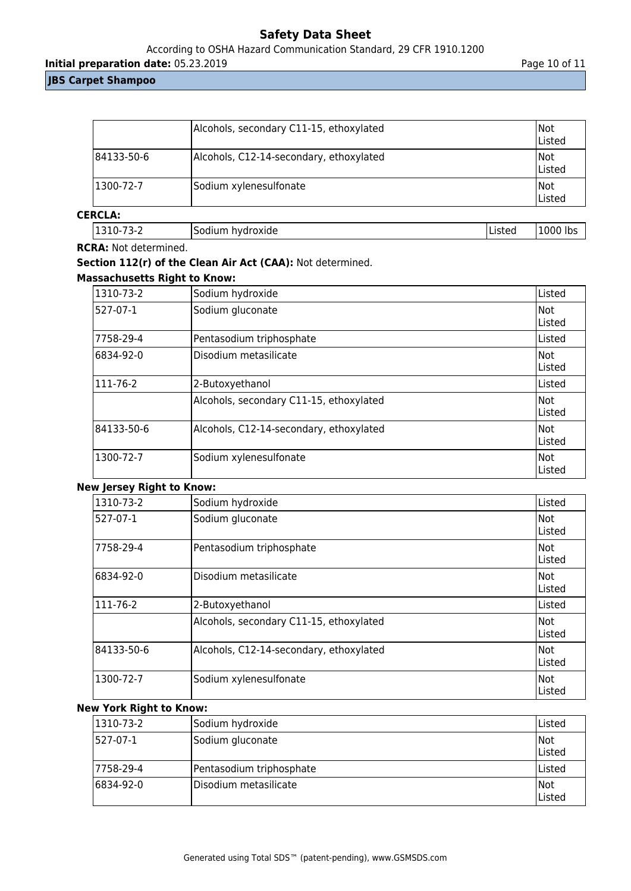## According to OSHA Hazard Communication Standard, 29 CFR 1910.1200

**Initial preparation date:** 05.23.2019 **Page 10 of 11** 

## **JBS Carpet Shampoo**

|                  | Alcohols, secondary C11-15, ethoxylated | INot<br>Listed |
|------------------|-----------------------------------------|----------------|
| 84133-50-6       | Alcohols, C12-14-secondary, ethoxylated | Not<br>Listed  |
| $ 1300 - 72 - 7$ | Sodium xylenesulfonate                  | Not<br> Listed |

## **CERCLA:**

|  |  | 1310-73-2 | ISodium hydroxide | <b>Listed</b> | 1000 lbs |
|--|--|-----------|-------------------|---------------|----------|
|--|--|-----------|-------------------|---------------|----------|

#### **RCRA:** Not determined.

# **Section 112(r) of the Clean Air Act (CAA):** Not determined.

## **Massachusetts Right to Know:**

| 1310-73-2  | Sodium hydroxide                        | Listed                |
|------------|-----------------------------------------|-----------------------|
| 527-07-1   | Sodium gluconate                        | Not<br><b>IListed</b> |
| 7758-29-4  | Pentasodium triphosphate                | Listed                |
| 6834-92-0  | Disodium metasilicate                   | Not<br>lListed        |
| 111-76-2   | 2-Butoxyethanol                         | Listed                |
|            | Alcohols, secondary C11-15, ethoxylated | Not<br>lListed        |
| 84133-50-6 | Alcohols, C12-14-secondary, ethoxylated | lNot.<br>Listed       |
| 1300-72-7  | Sodium xylenesulfonate                  | Not<br>lListed        |

## **New Jersey Right to Know:**

| 1310-73-2  | Sodium hydroxide                        | Listed           |
|------------|-----------------------------------------|------------------|
| 527-07-1   | Sodium gluconate                        | lNot.<br>lListed |
| 7758-29-4  | Pentasodium triphosphate                | Not<br>lListed   |
| 6834-92-0  | Disodium metasilicate                   | Not<br>Listed    |
| 111-76-2   | 2-Butoxyethanol                         | Listed           |
|            | Alcohols, secondary C11-15, ethoxylated | Not<br>lListed   |
| 84133-50-6 | Alcohols, C12-14-secondary, ethoxylated | Not<br>Listed    |
| 1300-72-7  | Sodium xylenesulfonate                  | Not<br>Listed    |

## **New York Right to Know:**

| $ 1310-73-2 $ | Sodium hydroxide         | lListed       |
|---------------|--------------------------|---------------|
| 527-07-1      | Sodium gluconate         | Not<br>Listed |
| 17758-29-4    | Pentasodium triphosphate | Listed        |
| 6834-92-0     | IDisodium metasilicate   | Not<br>Listed |